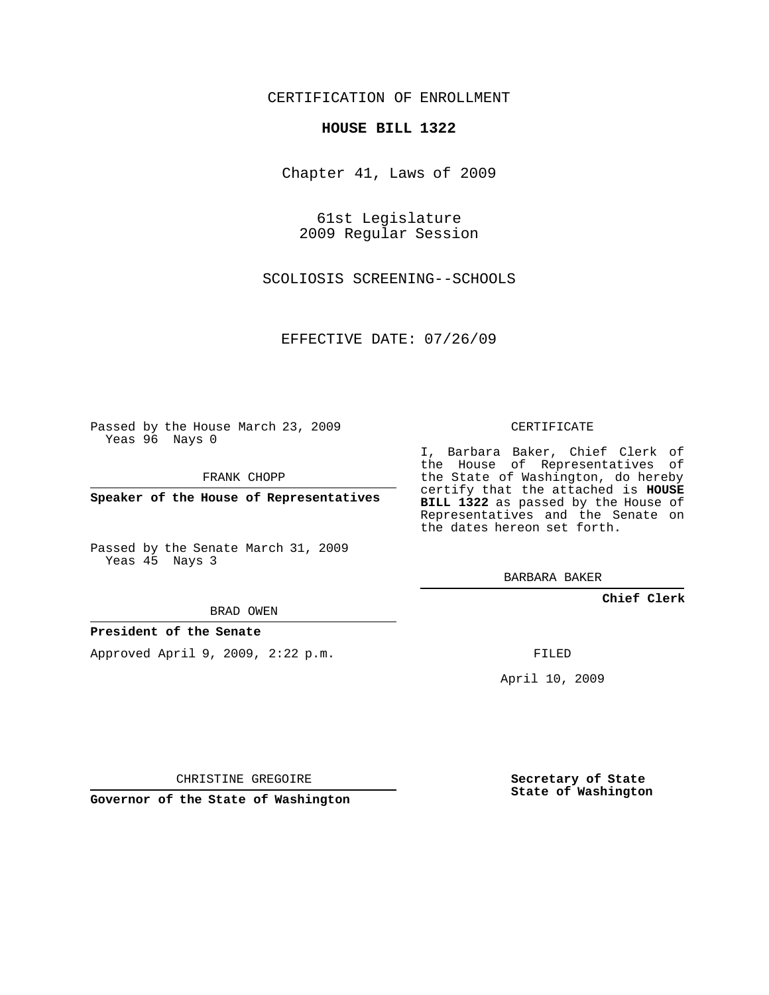### CERTIFICATION OF ENROLLMENT

#### **HOUSE BILL 1322**

Chapter 41, Laws of 2009

61st Legislature 2009 Regular Session

SCOLIOSIS SCREENING--SCHOOLS

EFFECTIVE DATE: 07/26/09

Passed by the House March 23, 2009 Yeas 96 Nays 0

FRANK CHOPP

**Speaker of the House of Representatives**

Passed by the Senate March 31, 2009 Yeas 45 Nays 3

BRAD OWEN

#### **President of the Senate**

Approved April 9, 2009, 2:22 p.m.

CERTIFICATE

I, Barbara Baker, Chief Clerk of the House of Representatives of the State of Washington, do hereby certify that the attached is **HOUSE BILL 1322** as passed by the House of Representatives and the Senate on the dates hereon set forth.

BARBARA BAKER

**Chief Clerk**

FILED

April 10, 2009

CHRISTINE GREGOIRE

**Governor of the State of Washington**

**Secretary of State State of Washington**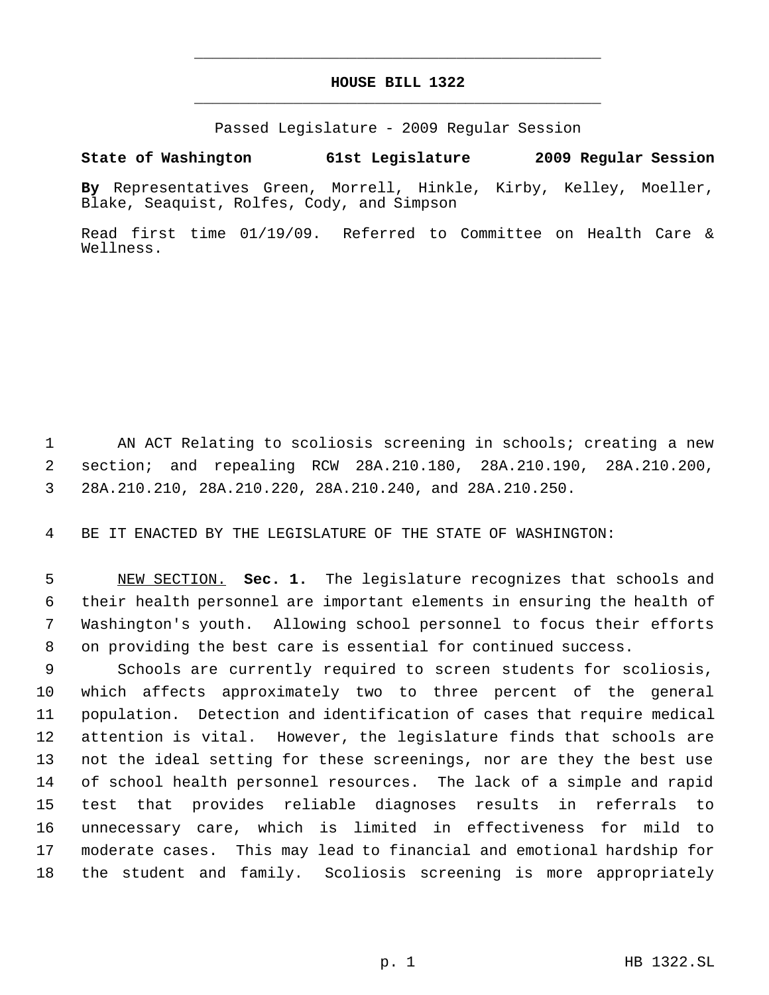# **HOUSE BILL 1322** \_\_\_\_\_\_\_\_\_\_\_\_\_\_\_\_\_\_\_\_\_\_\_\_\_\_\_\_\_\_\_\_\_\_\_\_\_\_\_\_\_\_\_\_\_

\_\_\_\_\_\_\_\_\_\_\_\_\_\_\_\_\_\_\_\_\_\_\_\_\_\_\_\_\_\_\_\_\_\_\_\_\_\_\_\_\_\_\_\_\_

Passed Legislature - 2009 Regular Session

## **State of Washington 61st Legislature 2009 Regular Session**

**By** Representatives Green, Morrell, Hinkle, Kirby, Kelley, Moeller, Blake, Seaquist, Rolfes, Cody, and Simpson

Read first time 01/19/09. Referred to Committee on Health Care & Wellness.

 AN ACT Relating to scoliosis screening in schools; creating a new section; and repealing RCW 28A.210.180, 28A.210.190, 28A.210.200, 28A.210.210, 28A.210.220, 28A.210.240, and 28A.210.250.

BE IT ENACTED BY THE LEGISLATURE OF THE STATE OF WASHINGTON:

 NEW SECTION. **Sec. 1.** The legislature recognizes that schools and their health personnel are important elements in ensuring the health of Washington's youth. Allowing school personnel to focus their efforts on providing the best care is essential for continued success.

 Schools are currently required to screen students for scoliosis, which affects approximately two to three percent of the general population. Detection and identification of cases that require medical attention is vital. However, the legislature finds that schools are not the ideal setting for these screenings, nor are they the best use of school health personnel resources. The lack of a simple and rapid test that provides reliable diagnoses results in referrals to unnecessary care, which is limited in effectiveness for mild to moderate cases. This may lead to financial and emotional hardship for the student and family. Scoliosis screening is more appropriately